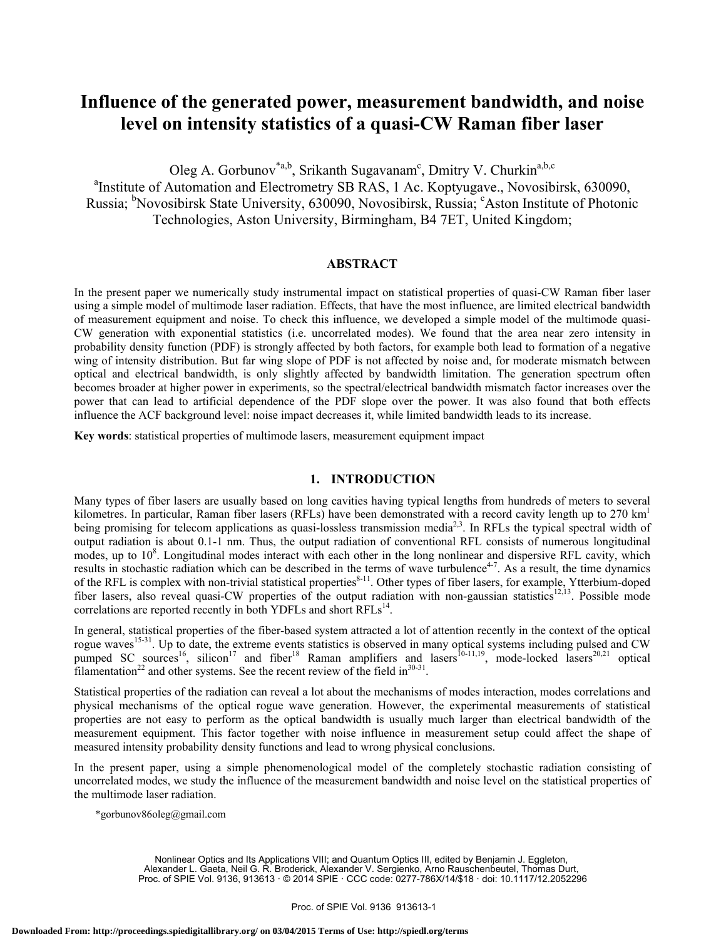# **Influence of the generated power, measurement bandwidth, and noise level on intensity statistics of a quasi-CW Raman fiber laser**

Oleg A. Gorbunov<sup>\*a,b</sup>, Srikanth Sugavanam<sup>c</sup>, Dmitry V. Churkin<sup>a,b,c</sup> <sup>a</sup>Institute of Automation and Electrometry SB RAS, 1 Ac. Koptyugave., Novosibirsk, 630090, Russia; <sup>b</sup>Novosibirsk State University, 630090, Novosibirsk, Russia; <sup>c</sup>Aston Institute of Photonic Technologies, Aston University, Birmingham, B4 7ET, United Kingdom;

# **ABSTRACT**

In the present paper we numerically study instrumental impact on statistical properties of quasi-CW Raman fiber laser using a simple model of multimode laser radiation. Effects, that have the most influence, are limited electrical bandwidth of measurement equipment and noise. To check this influence, we developed a simple model of the multimode quasi-CW generation with exponential statistics (i.e. uncorrelated modes). We found that the area near zero intensity in probability density function (PDF) is strongly affected by both factors, for example both lead to formation of a negative wing of intensity distribution. But far wing slope of PDF is not affected by noise and, for moderate mismatch between optical and electrical bandwidth, is only slightly affected by bandwidth limitation. The generation spectrum often becomes broader at higher power in experiments, so the spectral/electrical bandwidth mismatch factor increases over the power that can lead to artificial dependence of the PDF slope over the power. It was also found that both effects influence the ACF background level: noise impact decreases it, while limited bandwidth leads to its increase.

**Key words**: statistical properties of multimode lasers, measurement equipment impact

## **1. INTRODUCTION**

Many types of fiber lasers are usually based on long cavities having typical lengths from hundreds of meters to several kilometres. In particular, Raman fiber lasers (RFLs) have been demonstrated with a record cavity length up to  $270 \text{ km}^1$ being promising for telecom applications as quasi-lossless transmission media<sup>2,3</sup>. In RFLs the typical spectral width of output radiation is about 0.1-1 nm. Thus, the output radiation of conventional RFL consists of numerous longitudinal modes, up to 10<sup>8</sup>. Longitudinal modes interact with each other in the long nonlinear and dispersive RFL cavity, which results in stochastic radiation which can be described in the terms of wave turbulence<sup>4-7</sup>. As a result, the time dynamics of the RFL is complex with non-trivial statistical properties $8-11$ . Other types of fiber lasers, for example, Ytterbium-doped fiber lasers, also reveal quasi-CW properties of the output radiation with non-gaussian statistics<sup>12,13</sup>. Possible mode correlations are reported recently in both YDFLs and short RFLs<sup>14</sup>.

In general, statistical properties of the fiber-based system attracted a lot of attention recently in the context of the optical rogue waves<sup>15-31</sup>. Up to date, the extreme events statistics is observed in many optical systems including pulsed and CW pumped SC sources<sup>16</sup>, silicon<sup>17</sup> and fiber<sup>18</sup> Raman amplifiers and lasers<sup>10-11,19</sup>, mode-locked lasers<sup>20,21</sup> optical filamentation<sup>22</sup> and other systems. See the recent review of the field in $30-31$ .

Statistical properties of the radiation can reveal a lot about the mechanisms of modes interaction, modes correlations and physical mechanisms of the optical rogue wave generation. However, the experimental measurements of statistical properties are not easy to perform as the optical bandwidth is usually much larger than electrical bandwidth of the measurement equipment. This factor together with noise influence in measurement setup could affect the shape of measured intensity probability density functions and lead to wrong physical conclusions.

In the present paper, using a simple phenomenological model of the completely stochastic radiation consisting of uncorrelated modes, we study the influence of the measurement bandwidth and noise level on the statistical properties of the multimode laser radiation.

\*gorbunov86oleg@gmail.com

Nonlinear Optics and Its Applications VIII; and Quantum Optics III, edited by Benjamin J. Eggleton, Alexander L. Gaeta, Neil G. R. Broderick, Alexander V. Sergienko, Arno Rauschenbeutel, Thomas Durt, Proc. of SPIE Vol. 9136, 913613 · © 2014 SPIE · CCC code: 0277-786X/14/\$18 · doi: 10.1117/12.2052296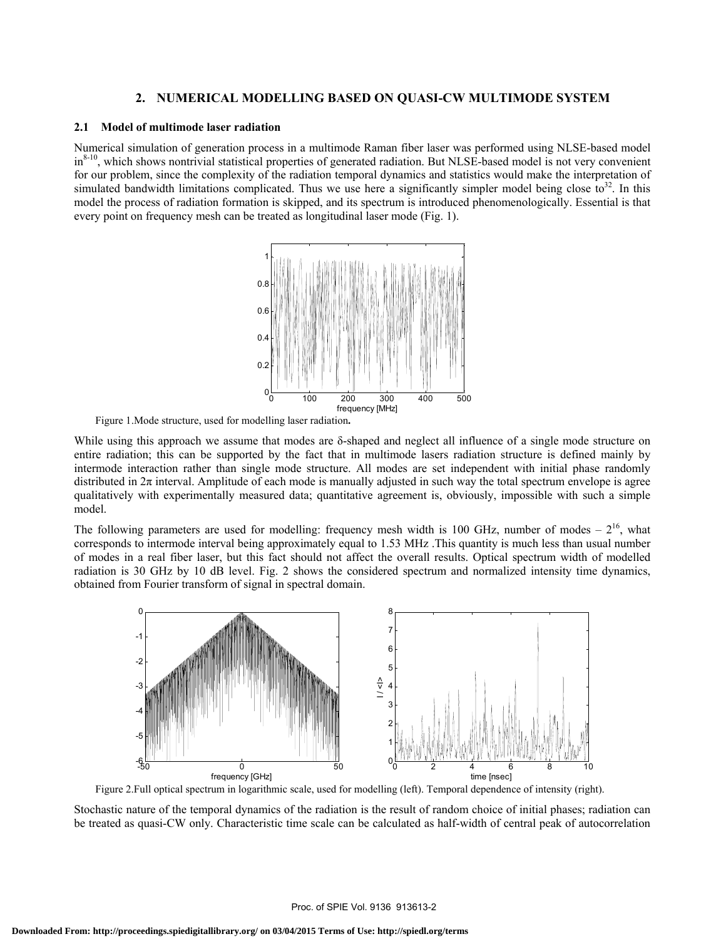## **2. NUMERICAL MODELLING BASED ON QUASI-CW MULTIMODE SYSTEM**

#### **2.1 Model of multimode laser radiation**

Numerical simulation of generation process in a multimode Raman fiber laser was performed using NLSE-based model in<sup>8-10</sup>, which shows nontrivial statistical properties of generated radiation. But NLSE-based model is not very convenient for our problem, since the complexity of the radiation temporal dynamics and statistics would make the interpretation of simulated bandwidth limitations complicated. Thus we use here a significantly simpler model being close to<sup>32</sup>. In this model the process of radiation formation is skipped, and its spectrum is introduced phenomenologically. Essential is that every point on frequency mesh can be treated as longitudinal laser mode (Fig. 1).



Figure 1.Mode structure, used for modelling laser radiation**.** 

While using this approach we assume that modes are  $\delta$ -shaped and neglect all influence of a single mode structure on entire radiation; this can be supported by the fact that in multimode lasers radiation structure is defined mainly by intermode interaction rather than single mode structure. All modes are set independent with initial phase randomly distributed in  $2\pi$  interval. Amplitude of each mode is manually adjusted in such way the total spectrum envelope is agree qualitatively with experimentally measured data; quantitative agreement is, obviously, impossible with such a simple model.

The following parameters are used for modelling: frequency mesh width is 100 GHz, number of modes –  $2^{16}$ , what corresponds to intermode interval being approximately equal to 1.53 MHz .This quantity is much less than usual number of modes in a real fiber laser, but this fact should not affect the overall results. Optical spectrum width of modelled radiation is 30 GHz by 10 dB level. Fig. 2 shows the considered spectrum and normalized intensity time dynamics, obtained from Fourier transform of signal in spectral domain.



Figure 2.Full optical spectrum in logarithmic scale, used for modelling (left). Temporal dependence of intensity (right).

Stochastic nature of the temporal dynamics of the radiation is the result of random choice of initial phases; radiation can be treated as quasi-CW only. Characteristic time scale can be calculated as half-width of central peak of autocorrelation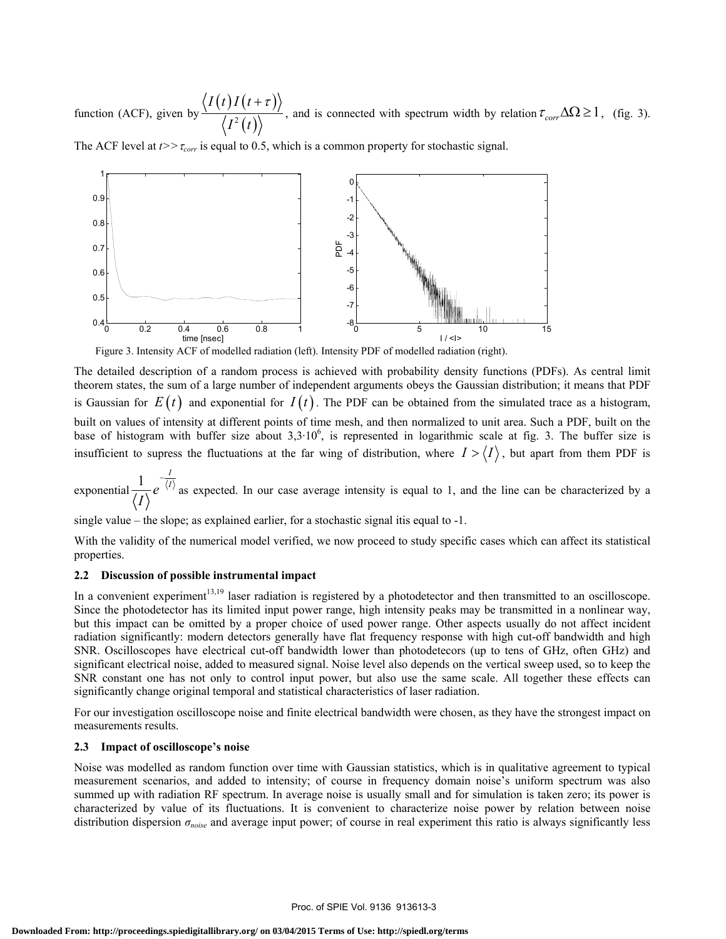function (ACF), given by  $\frac{\sqrt{I(t)I(t+\tau)}}{\sqrt{I(t)}}$  $^{2}(t)$  $I(t)I(t)$  $I^2(t)$  $+ \tau$ , and is connected with spectrum width by relation  $\tau_{corr} \Delta \Omega \ge 1$ , (fig. 3).

The ACF level at *t>>*<sup>τ</sup>*corr* is equal to 0.5, which is a common property for stochastic signal.



Figure 3. Intensity ACF of modelled radiation (left). Intensity PDF of modelled radiation (right).

The detailed description of a random process is achieved with probability density functions (PDFs). As central limit theorem states, the sum of a large number of independent arguments obeys the Gaussian distribution; it means that PDF is Gaussian for  $E(t)$  and exponential for  $I(t)$ . The PDF can be obtained from the simulated trace as a histogram, built on values of intensity at different points of time mesh, and then normalized to unit area. Such a PDF, built on the base of histogram with buffer size about  $3.3 \cdot 10^6$ , is represented in logarithmic scale at fig. 3. The buffer size is insufficient to supress the fluctuations at the far wing of distribution, where  $I > \langle I \rangle$ , but apart from them PDF is

exponential  $\frac{1}{1-\lambda}e^{-\frac{t^2}{\sqrt{t^2}}}$ *I e I* − as expected. In our case average intensity is equal to 1, and the line can be characterized by a

single value – the slope; as explained earlier, for a stochastic signal itis equal to -1.

With the validity of the numerical model verified, we now proceed to study specific cases which can affect its statistical properties.

## **2.2 Discussion of possible instrumental impact**

In a convenient experiment<sup>13,19</sup> laser radiation is registered by a photodetector and then transmitted to an oscilloscope. Since the photodetector has its limited input power range, high intensity peaks may be transmitted in a nonlinear way, but this impact can be omitted by a proper choice of used power range. Other aspects usually do not affect incident radiation significantly: modern detectors generally have flat frequency response with high cut-off bandwidth and high SNR. Oscilloscopes have electrical cut-off bandwidth lower than photodetecors (up to tens of GHz, often GHz) and significant electrical noise, added to measured signal. Noise level also depends on the vertical sweep used, so to keep the SNR constant one has not only to control input power, but also use the same scale. All together these effects can significantly change original temporal and statistical characteristics of laser radiation.

For our investigation oscilloscope noise and finite electrical bandwidth were chosen, as they have the strongest impact on measurements results.

## **2.3 Impact of oscilloscope's noise**

Noise was modelled as random function over time with Gaussian statistics, which is in qualitative agreement to typical measurement scenarios, and added to intensity; of course in frequency domain noise's uniform spectrum was also summed up with radiation RF spectrum. In average noise is usually small and for simulation is taken zero; its power is characterized by value of its fluctuations. It is convenient to characterize noise power by relation between noise distribution dispersion *σnoise* and average input power; of course in real experiment this ratio is always significantly less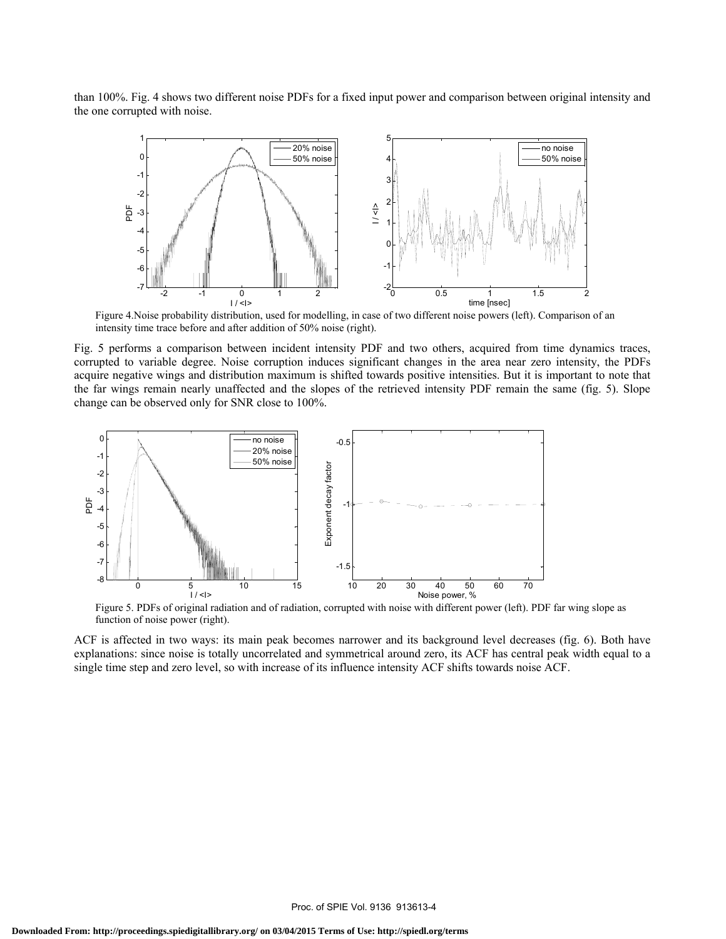than 100%. Fig. 4 shows two different noise PDFs for a fixed input power and comparison between original intensity and the one corrupted with noise.



Figure 4.Noise probability distribution, used for modelling, in case of two different noise powers (left). Comparison of an intensity time trace before and after addition of 50% noise (right).

Fig. 5 performs a comparison between incident intensity PDF and two others, acquired from time dynamics traces, corrupted to variable degree. Noise corruption induces significant changes in the area near zero intensity, the PDFs acquire negative wings and distribution maximum is shifted towards positive intensities. But it is important to note that the far wings remain nearly unaffected and the slopes of the retrieved intensity PDF remain the same (fig. 5). Slope change can be observed only for SNR close to 100%.



Figure 5. PDFs of original radiation and of radiation, corrupted with noise with different power (left). PDF far wing slope as function of noise power (right).

ACF is affected in two ways: its main peak becomes narrower and its background level decreases (fig. 6). Both have explanations: since noise is totally uncorrelated and symmetrical around zero, its ACF has central peak width equal to a single time step and zero level, so with increase of its influence intensity ACF shifts towards noise ACF.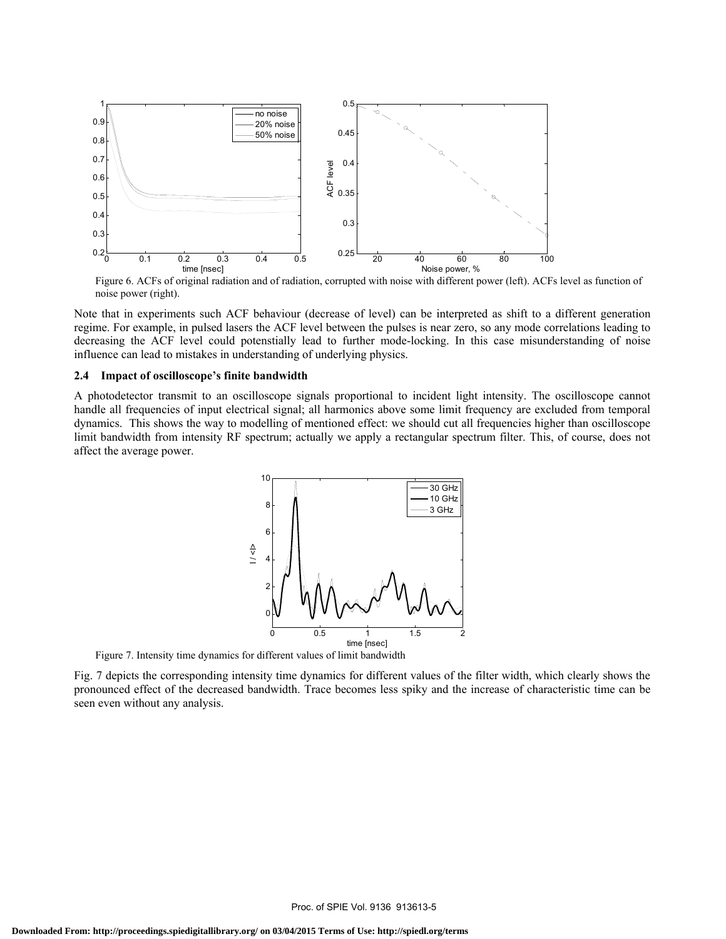

Figure 6. ACFs of original radiation and of radiation, corrupted with noise with different power (left). ACFs level as function of noise power (right).

Note that in experiments such ACF behaviour (decrease of level) can be interpreted as shift to a different generation regime. For example, in pulsed lasers the ACF level between the pulses is near zero, so any mode correlations leading to decreasing the ACF level could potenstially lead to further mode-locking. In this case misunderstanding of noise influence can lead to mistakes in understanding of underlying physics.

### **2.4 Impact of oscilloscope's finite bandwidth**

A photodetector transmit to an oscilloscope signals proportional to incident light intensity. The oscilloscope cannot handle all frequencies of input electrical signal; all harmonics above some limit frequency are excluded from temporal dynamics. This shows the way to modelling of mentioned effect: we should cut all frequencies higher than oscilloscope limit bandwidth from intensity RF spectrum; actually we apply a rectangular spectrum filter. This, of course, does not affect the average power.



Figure 7. Intensity time dynamics for different values of limit bandwidth

Fig. 7 depicts the corresponding intensity time dynamics for different values of the filter width, which clearly shows the pronounced effect of the decreased bandwidth. Trace becomes less spiky and the increase of characteristic time can be seen even without any analysis.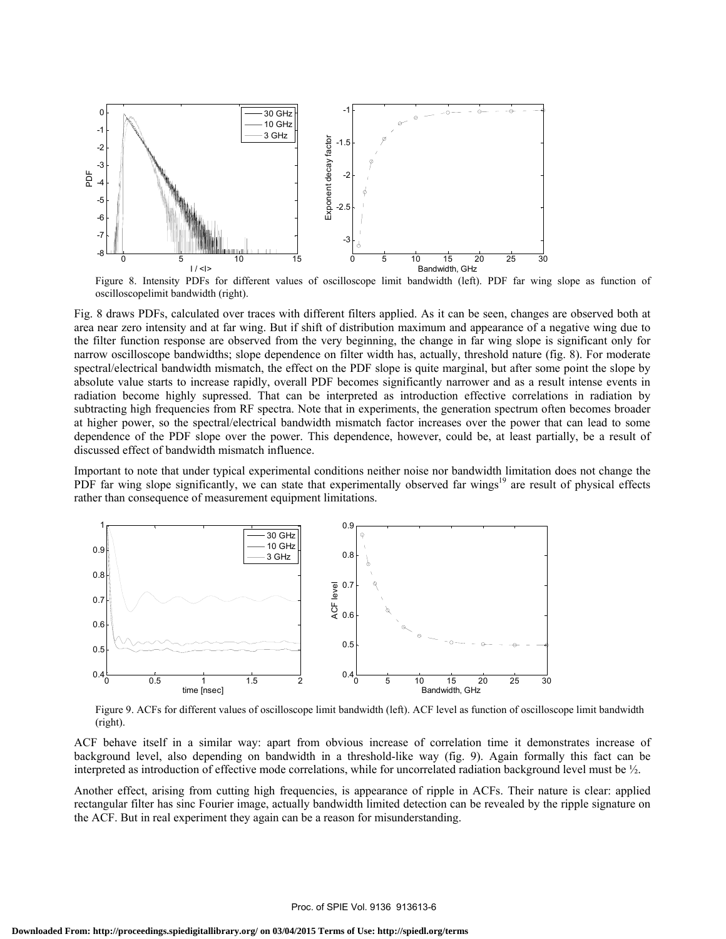

Figure 8. Intensity PDFs for different values of oscilloscope limit bandwidth (left). PDF far wing slope as function of oscilloscopelimit bandwidth (right).

Fig. 8 draws PDFs, calculated over traces with different filters applied. As it can be seen, changes are observed both at area near zero intensity and at far wing. But if shift of distribution maximum and appearance of a negative wing due to the filter function response are observed from the very beginning, the change in far wing slope is significant only for narrow oscilloscope bandwidths; slope dependence on filter width has, actually, threshold nature (fig. 8). For moderate spectral/electrical bandwidth mismatch, the effect on the PDF slope is quite marginal, but after some point the slope by absolute value starts to increase rapidly, overall PDF becomes significantly narrower and as a result intense events in radiation become highly supressed. That can be interpreted as introduction effective correlations in radiation by subtracting high frequencies from RF spectra. Note that in experiments, the generation spectrum often becomes broader at higher power, so the spectral/electrical bandwidth mismatch factor increases over the power that can lead to some dependence of the PDF slope over the power. This dependence, however, could be, at least partially, be a result of discussed effect of bandwidth mismatch influence.

Important to note that under typical experimental conditions neither noise nor bandwidth limitation does not change the PDF far wing slope significantly, we can state that experimentally observed far wings<sup>19</sup> are result of physical effects rather than consequence of measurement equipment limitations.



Figure 9. ACFs for different values of oscilloscope limit bandwidth (left). ACF level as function of oscilloscope limit bandwidth (right).

ACF behave itself in a similar way: apart from obvious increase of correlation time it demonstrates increase of background level, also depending on bandwidth in a threshold-like way (fig. 9). Again formally this fact can be interpreted as introduction of effective mode correlations, while for uncorrelated radiation background level must be ½.

Another effect, arising from cutting high frequencies, is appearance of ripple in ACFs. Their nature is clear: applied rectangular filter has sinc Fourier image, actually bandwidth limited detection can be revealed by the ripple signature on the ACF. But in real experiment they again can be a reason for misunderstanding.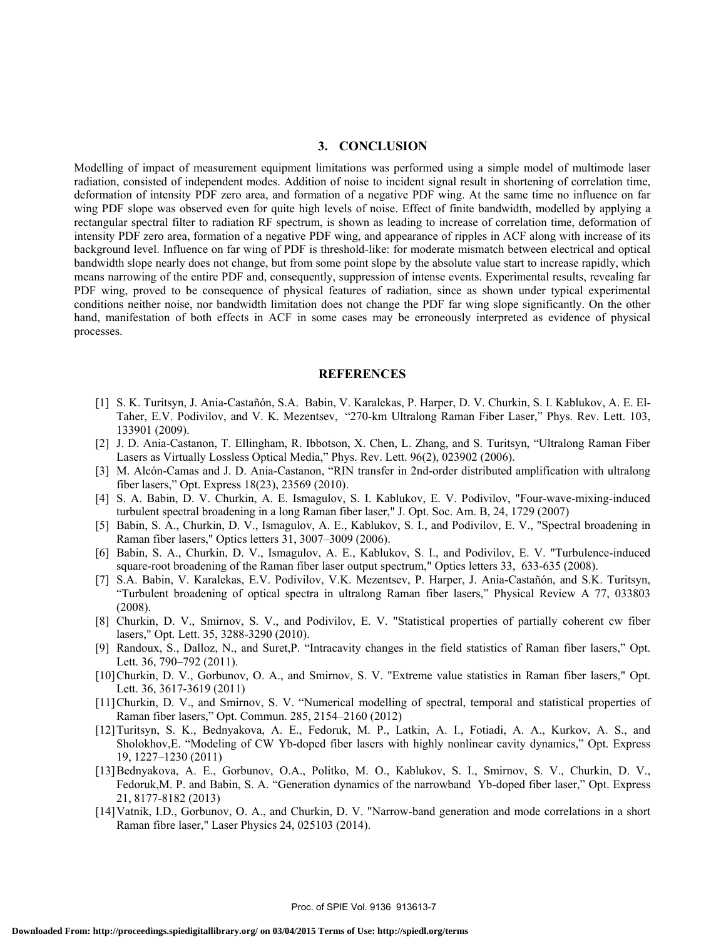#### **3. CONCLUSION**

Modelling of impact of measurement equipment limitations was performed using a simple model of multimode laser radiation, consisted of independent modes. Addition of noise to incident signal result in shortening of correlation time, deformation of intensity PDF zero area, and formation of a negative PDF wing. At the same time no influence on far wing PDF slope was observed even for quite high levels of noise. Effect of finite bandwidth, modelled by applying a rectangular spectral filter to radiation RF spectrum, is shown as leading to increase of correlation time, deformation of intensity PDF zero area, formation of a negative PDF wing, and appearance of ripples in ACF along with increase of its background level. Influence on far wing of PDF is threshold-like: for moderate mismatch between electrical and optical bandwidth slope nearly does not change, but from some point slope by the absolute value start to increase rapidly, which means narrowing of the entire PDF and, consequently, suppression of intense events. Experimental results, revealing far PDF wing, proved to be consequence of physical features of radiation, since as shown under typical experimental conditions neither noise, nor bandwidth limitation does not change the PDF far wing slope significantly. On the other hand, manifestation of both effects in ACF in some cases may be erroneously interpreted as evidence of physical processes.

#### **REFERENCES**

- [1] S. K. Turitsyn, J. Ania-Castañón, S.A. Babin, V. Karalekas, P. Harper, D. V. Churkin, S. I. Kablukov, A. E. El-Taher, E.V. Podivilov, and V. K. Mezentsev, "270-km Ultralong Raman Fiber Laser," Phys. Rev. Lett. 103, 133901 (2009).
- [2] J. D. Ania-Castanon, T. Ellingham, R. Ibbotson, X. Chen, L. Zhang, and S. Turitsyn, "Ultralong Raman Fiber Lasers as Virtually Lossless Optical Media," Phys. Rev. Lett. 96(2), 023902 (2006).
- [3] M. Alcón-Camas and J. D. Ania-Castanon, "RIN transfer in 2nd-order distributed amplification with ultralong fiber lasers," Opt. Express 18(23), 23569 (2010).
- [4] S. A. Babin, D. V. Churkin, A. E. Ismagulov, S. I. Kablukov, E. V. Podivilov, "Four-wave-mixing-induced turbulent spectral broadening in a long Raman fiber laser," J. Opt. Soc. Am. B, 24, 1729 (2007)
- [5] Babin, S. A., Churkin, D. V., Ismagulov, A. E., Kablukov, S. I., and Podivilov, E. V., "Spectral broadening in Raman fiber lasers," Optics letters 31, 3007–3009 (2006).
- [6] Babin, S. A., Churkin, D. V., Ismagulov, A. E., Kablukov, S. I., and Podivilov, E. V. "Turbulence-induced square-root broadening of the Raman fiber laser output spectrum," Optics letters 33, 633-635 (2008).
- [7] S.A. Babin, V. Karalekas, E.V. Podivilov, V.K. Mezentsev, P. Harper, J. Ania-Castañón, and S.K. Turitsyn, "Turbulent broadening of optical spectra in ultralong Raman fiber lasers," Physical Review A 77, 033803 (2008).
- [8] Churkin, D. V., Smirnov, S. V., and Podivilov, E. V. "Statistical properties of partially coherent cw fiber lasers," Opt. Lett. 35, 3288-3290 (2010).
- [9] Randoux, S., Dalloz, N., and Suret,P. "Intracavity changes in the field statistics of Raman fiber lasers," Opt. Lett. 36, 790–792 (2011).
- [10]Churkin, D. V., Gorbunov, O. A., and Smirnov, S. V. "Extreme value statistics in Raman fiber lasers," Opt. Lett. 36, 3617-3619 (2011)
- [11]Churkin, D. V., and Smirnov, S. V. "Numerical modelling of spectral, temporal and statistical properties of Raman fiber lasers," Opt. Commun. 285, 2154–2160 (2012)
- [12]Turitsyn, S. K., Bednyakova, A. E., Fedoruk, M. P., Latkin, A. I., Fotiadi, A. A., Kurkov, A. S., and Sholokhov,E. "Modeling of CW Yb-doped fiber lasers with highly nonlinear cavity dynamics," Opt. Express 19, 1227–1230 (2011)
- [13]Bednyakova, A. E., Gorbunov, O.A., Politko, M. O., Kablukov, S. I., Smirnov, S. V., Churkin, D. V., Fedoruk,M. P. and Babin, S. A. "Generation dynamics of the narrowband Yb-doped fiber laser," Opt. Express 21, 8177-8182 (2013)
- [14]Vatnik, I.D., Gorbunov, O. A., and Churkin, D. V. "Narrow-band generation and mode correlations in a short Raman fibre laser," Laser Physics 24, 025103 (2014).